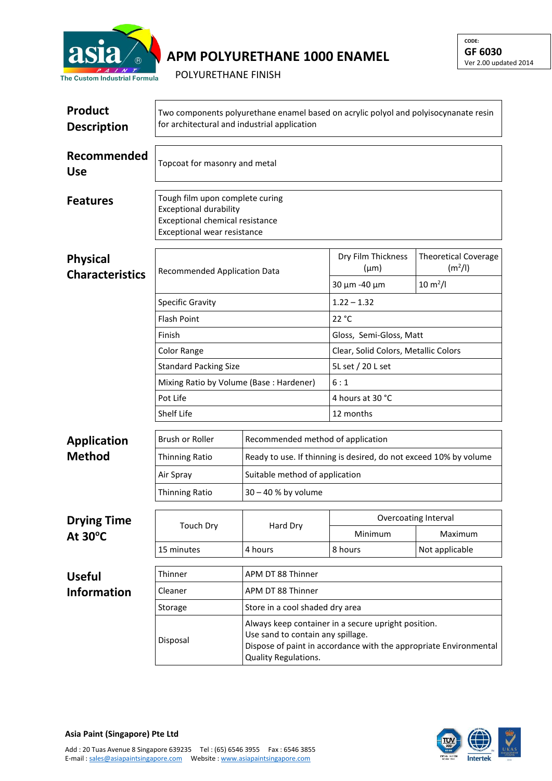

## **APM POLYURETHANE 1000 ENAMEL**

POLYURETHANE FINISH

| <b>Product</b><br><b>Description</b>    | Two components polyurethane enamel based on acrylic polyol and polyisocynanate resin<br>for architectural and industrial application |                                                                                                                                                                                       |                                      |                                                    |  |  |
|-----------------------------------------|--------------------------------------------------------------------------------------------------------------------------------------|---------------------------------------------------------------------------------------------------------------------------------------------------------------------------------------|--------------------------------------|----------------------------------------------------|--|--|
| Recommended<br><b>Use</b>               | Topcoat for masonry and metal                                                                                                        |                                                                                                                                                                                       |                                      |                                                    |  |  |
| <b>Features</b>                         | Tough film upon complete curing<br><b>Exceptional durability</b><br>Exceptional chemical resistance<br>Exceptional wear resistance   |                                                                                                                                                                                       |                                      |                                                    |  |  |
| <b>Physical</b>                         | Recommended Application Data<br><b>Characteristics</b>                                                                               |                                                                                                                                                                                       | Dry Film Thickness<br>$(\mu m)$      | <b>Theoretical Coverage</b><br>(m <sup>2</sup> /I) |  |  |
|                                         |                                                                                                                                      |                                                                                                                                                                                       | 30 µm -40 µm                         | $10 \, \text{m}^2$ /l                              |  |  |
|                                         | <b>Specific Gravity</b>                                                                                                              |                                                                                                                                                                                       | $1.22 - 1.32$                        |                                                    |  |  |
|                                         | <b>Flash Point</b>                                                                                                                   |                                                                                                                                                                                       | 22 °C                                |                                                    |  |  |
|                                         | Finish                                                                                                                               |                                                                                                                                                                                       | Gloss, Semi-Gloss, Matt              |                                                    |  |  |
|                                         | <b>Color Range</b>                                                                                                                   |                                                                                                                                                                                       | Clear, Solid Colors, Metallic Colors |                                                    |  |  |
|                                         | <b>Standard Packing Size</b>                                                                                                         |                                                                                                                                                                                       | 5L set / 20 L set                    |                                                    |  |  |
|                                         | Mixing Ratio by Volume (Base: Hardener)                                                                                              |                                                                                                                                                                                       | 6:1                                  |                                                    |  |  |
|                                         | Pot Life                                                                                                                             |                                                                                                                                                                                       | 4 hours at 30 °C                     |                                                    |  |  |
|                                         | Shelf Life                                                                                                                           |                                                                                                                                                                                       | 12 months                            |                                                    |  |  |
| <b>Application</b>                      | Brush or Roller                                                                                                                      |                                                                                                                                                                                       | Recommended method of application    |                                                    |  |  |
| <b>Method</b>                           | <b>Thinning Ratio</b>                                                                                                                | Ready to use. If thinning is desired, do not exceed 10% by volume                                                                                                                     |                                      |                                                    |  |  |
|                                         | Air Spray                                                                                                                            | Suitable method of application                                                                                                                                                        |                                      |                                                    |  |  |
|                                         | <b>Thinning Ratio</b>                                                                                                                | $30 - 40$ % by volume                                                                                                                                                                 |                                      |                                                    |  |  |
| <b>Drying Time</b><br>At $30^{\circ}$ C | Touch Dry                                                                                                                            | Hard Dry                                                                                                                                                                              | Overcoating Interval                 |                                                    |  |  |
|                                         |                                                                                                                                      |                                                                                                                                                                                       | Minimum                              | Maximum                                            |  |  |
|                                         | 15 minutes                                                                                                                           | 4 hours                                                                                                                                                                               | 8 hours                              | Not applicable                                     |  |  |
| <b>Useful</b>                           | Thinner                                                                                                                              | APM DT 88 Thinner                                                                                                                                                                     |                                      |                                                    |  |  |
| <b>Information</b>                      | Cleaner                                                                                                                              | APM DT 88 Thinner                                                                                                                                                                     |                                      |                                                    |  |  |
|                                         | Storage                                                                                                                              | Store in a cool shaded dry area                                                                                                                                                       |                                      |                                                    |  |  |
|                                         | Disposal                                                                                                                             | Always keep container in a secure upright position.<br>Use sand to contain any spillage.<br>Dispose of paint in accordance with the appropriate Environmental<br>Quality Regulations. |                                      |                                                    |  |  |